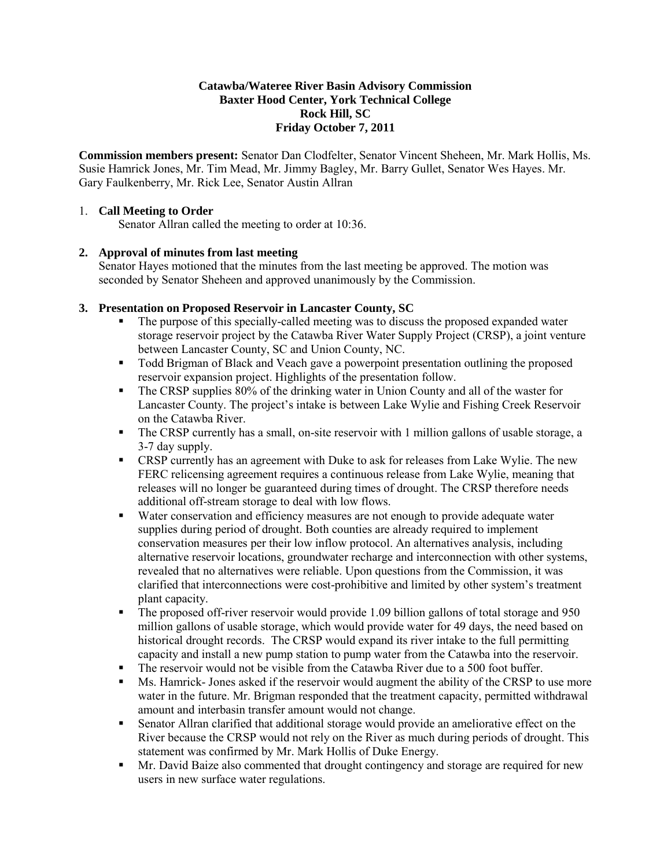#### **Catawba/Wateree River Basin Advisory Commission Baxter Hood Center, York Technical College Rock Hill, SC Friday October 7, 2011**

**Commission members present:** Senator Dan Clodfelter, Senator Vincent Sheheen, Mr. Mark Hollis, Ms. Susie Hamrick Jones, Mr. Tim Mead, Mr. Jimmy Bagley, Mr. Barry Gullet, Senator Wes Hayes. Mr. Gary Faulkenberry, Mr. Rick Lee, Senator Austin Allran

#### 1. **Call Meeting to Order**

Senator Allran called the meeting to order at 10:36.

### **2. Approval of minutes from last meeting**

Senator Hayes motioned that the minutes from the last meeting be approved. The motion was seconded by Senator Sheheen and approved unanimously by the Commission.

### **3. Presentation on Proposed Reservoir in Lancaster County, SC**

- The purpose of this specially-called meeting was to discuss the proposed expanded water storage reservoir project by the Catawba River Water Supply Project (CRSP), a joint venture between Lancaster County, SC and Union County, NC.
- Todd Brigman of Black and Veach gave a powerpoint presentation outlining the proposed reservoir expansion project. Highlights of the presentation follow.
- The CRSP supplies 80% of the drinking water in Union County and all of the waster for Lancaster County. The project's intake is between Lake Wylie and Fishing Creek Reservoir on the Catawba River.
- The CRSP currently has a small, on-site reservoir with 1 million gallons of usable storage, a 3-7 day supply.
- CRSP currently has an agreement with Duke to ask for releases from Lake Wylie. The new FERC relicensing agreement requires a continuous release from Lake Wylie, meaning that releases will no longer be guaranteed during times of drought. The CRSP therefore needs additional off-stream storage to deal with low flows.
- Water conservation and efficiency measures are not enough to provide adequate water supplies during period of drought. Both counties are already required to implement conservation measures per their low inflow protocol. An alternatives analysis, including alternative reservoir locations, groundwater recharge and interconnection with other systems, revealed that no alternatives were reliable. Upon questions from the Commission, it was clarified that interconnections were cost-prohibitive and limited by other system's treatment plant capacity.
- The proposed off-river reservoir would provide 1.09 billion gallons of total storage and 950 million gallons of usable storage, which would provide water for 49 days, the need based on historical drought records. The CRSP would expand its river intake to the full permitting capacity and install a new pump station to pump water from the Catawba into the reservoir.
- The reservoir would not be visible from the Catawba River due to a 500 foot buffer.
- Ms. Hamrick- Jones asked if the reservoir would augment the ability of the CRSP to use more water in the future. Mr. Brigman responded that the treatment capacity, permitted withdrawal amount and interbasin transfer amount would not change.
- Senator Allran clarified that additional storage would provide an ameliorative effect on the River because the CRSP would not rely on the River as much during periods of drought. This statement was confirmed by Mr. Mark Hollis of Duke Energy.
- Mr. David Baize also commented that drought contingency and storage are required for new users in new surface water regulations.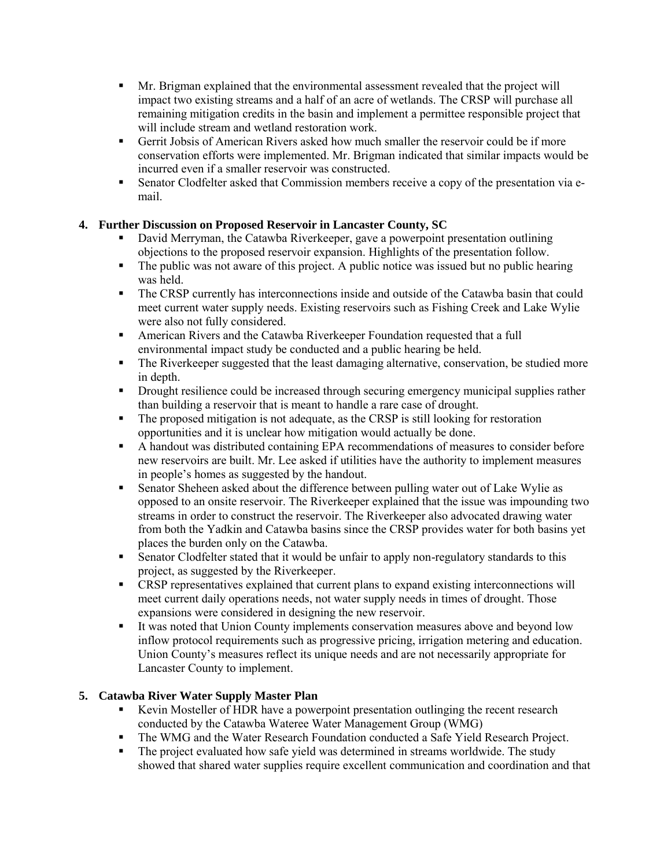- Mr. Brigman explained that the environmental assessment revealed that the project will impact two existing streams and a half of an acre of wetlands. The CRSP will purchase all remaining mitigation credits in the basin and implement a permittee responsible project that will include stream and wetland restoration work.
- Gerrit Jobsis of American Rivers asked how much smaller the reservoir could be if more conservation efforts were implemented. Mr. Brigman indicated that similar impacts would be incurred even if a smaller reservoir was constructed.
- Senator Clodfelter asked that Commission members receive a copy of the presentation via email.

# **4. Further Discussion on Proposed Reservoir in Lancaster County, SC**

- David Merryman, the Catawba Riverkeeper, gave a powerpoint presentation outlining objections to the proposed reservoir expansion. Highlights of the presentation follow.
- The public was not aware of this project. A public notice was issued but no public hearing was held.
- The CRSP currently has interconnections inside and outside of the Catawba basin that could meet current water supply needs. Existing reservoirs such as Fishing Creek and Lake Wylie were also not fully considered.
- American Rivers and the Catawba Riverkeeper Foundation requested that a full environmental impact study be conducted and a public hearing be held.
- The Riverkeeper suggested that the least damaging alternative, conservation, be studied more in depth.
- Drought resilience could be increased through securing emergency municipal supplies rather than building a reservoir that is meant to handle a rare case of drought.
- The proposed mitigation is not adequate, as the CRSP is still looking for restoration opportunities and it is unclear how mitigation would actually be done.
- A handout was distributed containing EPA recommendations of measures to consider before new reservoirs are built. Mr. Lee asked if utilities have the authority to implement measures in people's homes as suggested by the handout.
- Senator Sheheen asked about the difference between pulling water out of Lake Wylie as opposed to an onsite reservoir. The Riverkeeper explained that the issue was impounding two streams in order to construct the reservoir. The Riverkeeper also advocated drawing water from both the Yadkin and Catawba basins since the CRSP provides water for both basins yet places the burden only on the Catawba.
- Senator Clodfelter stated that it would be unfair to apply non-regulatory standards to this project, as suggested by the Riverkeeper.
- CRSP representatives explained that current plans to expand existing interconnections will meet current daily operations needs, not water supply needs in times of drought. Those expansions were considered in designing the new reservoir.
- It was noted that Union County implements conservation measures above and beyond low inflow protocol requirements such as progressive pricing, irrigation metering and education. Union County's measures reflect its unique needs and are not necessarily appropriate for Lancaster County to implement.

# **5. Catawba River Water Supply Master Plan**

- Kevin Mosteller of HDR have a powerpoint presentation outlinging the recent research conducted by the Catawba Wateree Water Management Group (WMG)
- The WMG and the Water Research Foundation conducted a Safe Yield Research Project.
- The project evaluated how safe yield was determined in streams worldwide. The study showed that shared water supplies require excellent communication and coordination and that